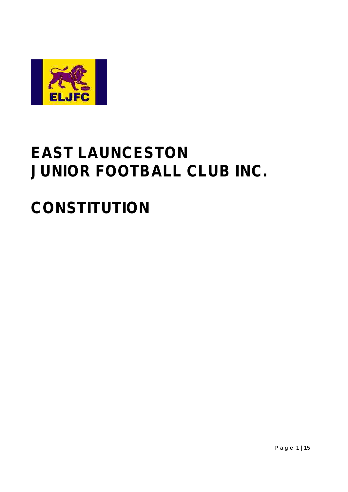

# **EAST LAUNCESTON** JUNIOR FOOTBALL CLUB INC.

# **CONSTITUTION**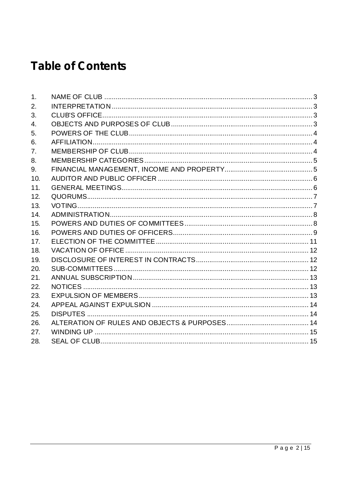## **Table of Contents**

| 1.             |  |
|----------------|--|
| 2.             |  |
| 3.             |  |
| 4.             |  |
| 5.             |  |
| 6.             |  |
| 7 <sub>1</sub> |  |
| 8.             |  |
| 9.             |  |
| 10.            |  |
| 11.            |  |
| 12.            |  |
| 13.            |  |
| 14.            |  |
| 15.            |  |
| 16.            |  |
| 17.            |  |
| 18.            |  |
| 19.            |  |
| 20.            |  |
| 21.            |  |
| 22.            |  |
| 23.            |  |
| 24.            |  |
| 25.            |  |
| 26.            |  |
| 27.            |  |
| 28.            |  |
|                |  |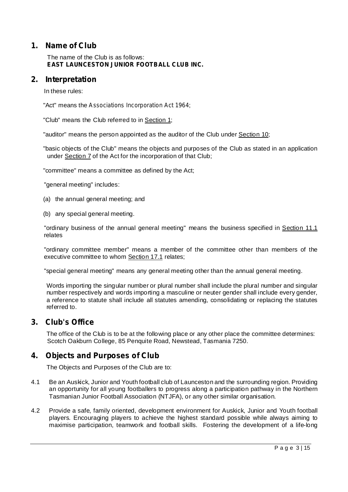## **1. Name of Club**

The name of the Club is as follows: **EAST LAUNCESTON JUNIOR FOOTBALL CLUB INC.**

## **2. Interpretation**

In these rules:

"Act" means the ; *Associations Incorporation Act 1964*

"Club" means the Club referred to in Section 1;

"auditor" means the person appointed as the auditor of the Club under Section 10;

"basic objects of the Club" means the objects and purposes of the Club as stated in an application under Section 7 of the Act for the incorporation of that Club;

"committee" means a committee as defined by the Act;

"general meeting" includes:

- (a) the annual general meeting; and
- (b) any special general meeting.

"ordinary business of the annual general meeting" means the business specified in Section 11.1 relates

"ordinary committee member" means a member of the committee other than members of the executive committee to whom Section 17.1 relates;

"special general meeting" means any general meeting other than the annual general meeting.

Words importing the singular number or plural number shall include the plural number and singular number respectively and words importing a masculine or neuter gender shall include every gender, a reference to statute shall include all statutes amending, consolidating or replacing the statutes referred to.

## **3. Club's Office**

The office of the Club is to be at the following place or any other place the committee determines: Scotch Oakburn College, 85 Penquite Road, Newstead, Tasmania 7250.

## **4. Objects and Purposes of Club**

The Objects and Purposes of the Club are to:

- 4.1 Be an Auskick, Junior and Youth football club of Launceston and the surrounding region. Providing an opportunity for all young footballers to progress along a participation pathway in the Northern Tasmanian Junior Football Association (NTJFA), or any other similar organisation.
- 4.2 Provide a safe, family oriented, development environment for Auskick, Junior and Youth football players. Encouraging players to achieve the highest standard possible while always aiming to maximise participation, teamwork and football skills. Fostering the development of a life-long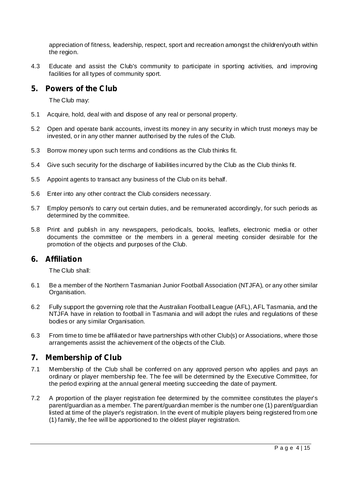appreciation of fitness, leadership, respect, sport and recreation amongst the children/youth within the region.

4.3 Educate and assist the Club's community to participate in sporting activities, and improving facilities for all types of community sport.

## **5. Powers of the Club**

The Club may:

- 5.1 Acquire, hold, deal with and dispose of any real or personal property.
- 5.2 Open and operate bank accounts, invest its money in any security in which trust moneys may be invested, or in any other manner authorised by the rules of the Club.
- 5.3 Borrow money upon such terms and conditions as the Club thinks fit.
- 5.4 Give such security for the discharge of liabilities incurred by the Club as the Club thinks fit.
- 5.5 Appoint agents to transact any business of the Club on its behalf.
- 5.6 Enter into any other contract the Club considers necessary.
- 5.7 Employ person/s to carry out certain duties, and be remunerated accordingly, for such periods as determined by the committee.
- 5.8 Print and publish in any newspapers, periodicals, books, leaflets, electronic media or other documents the committee or the members in a general meeting consider desirable for the promotion of the objects and purposes of the Club.

## **6. Affiliation**

The Club shall:

- 6.1 Be a member of the Northern Tasmanian Junior Football Association (NTJFA), or any other similar Organisation.
- 6.2 Fully support the governing role that the Australian Football League (AFL), AFL Tasmania, and the NTJFA have in relation to football in Tasmania and will adopt the rules and regulations of these bodies or any similar Organisation.
- 6.3 From time to time be affiliated or have partnerships with other Club(s) or Associations, where those arrangements assist the achievement of the objects of the Club.

## **7. Membership of Club**

- 7.1 Membership of the Club shall be conferred on any approved person who applies and pays an ordinary or player membership fee. The fee will be determined by the Executive Committee, for the period expiring at the annual general meeting succeeding the date of payment.
- 7.2 A proportion of the player registration fee determined by the committee constitutes the player's parent/guardian as a member. The parent/guardian member is the number one (1) parent/guardian listed at time of the player's registration. In the event of multiple players being registered from one (1) family, the fee will be apportioned to the oldest player registration.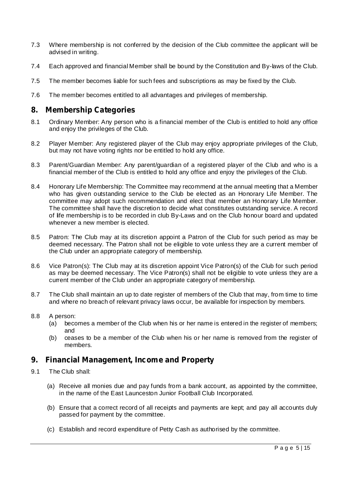- 7.3 Where membership is not conferred by the decision of the Club committee the applicant will be advised in writing.
- 7.4 Each approved and financial Member shall be bound by the Constitution and By-laws of the Club.
- 7.5 The member becomes liable for such fees and subscriptions as may be fixed by the Club.
- 7.6 The member becomes entitled to all advantages and privileges of membership.

## **8. Membership Categories**

- 8.1 Ordinary Member: Any person who is a financial member of the Club is entitled to hold any office and enjoy the privileges of the Club.
- 8.2 Player Member: Any registered player of the Club may enjoy appropriate privileges of the Club, but may not have voting rights nor be entitled to hold any office.
- 8.3 Parent/Guardian Member: Any parent/guardian of a registered player of the Club and who is a financial member of the Club is entitled to hold any office and enjoy the privileges of the Club.
- 8.4 Honorary Life Membership: The Committee may recommend at the annual meeting that a Member who has given outstanding service to the Club be elected as an Honorary Life Member. The committee may adopt such recommendation and elect that member an Honorary Life Member. The committee shall have the discretion to decide what constitutes outstanding service. A record of life membership is to be recorded in club By-Laws and on the Club honour board and updated whenever a new member is elected.
- 8.5 Patron: The Club may at its discretion appoint a Patron of the Club for such period as may be deemed necessary. The Patron shall not be eligible to vote unless they are a current member of the Club under an appropriate category of membership.
- 8.6 Vice Patron(s): The Club may at its discretion appoint Vice Patron(s) of the Club for such period as may be deemed necessary. The Vice Patron(s) shall not be eligible to vote unless they are a current member of the Club under an appropriate category of membership.
- 8.7 The Club shall maintain an up to date register of members of the Club that may, from time to time and where no breach of relevant privacy laws occur, be available for inspection by members.
- 8.8 A person:
	- (a) becomes a member of the Club when his or her name is entered in the register of members; and
	- (b) ceases to be a member of the Club when his or her name is removed from the register of members.

## **9. Financial Management, Income and Property**

- 9.1 The Club shall:
	- (a) Receive all monies due and pay funds from a bank account, as appointed by the committee, in the name of the East Launceston Junior Football Club Incorporated.
	- (b) Ensure that a correct record of all receipts and payments are kept; and pay all accounts duly passed for payment by the committee.
	- (c) Establish and record expenditure of Petty Cash as authorised by the committee.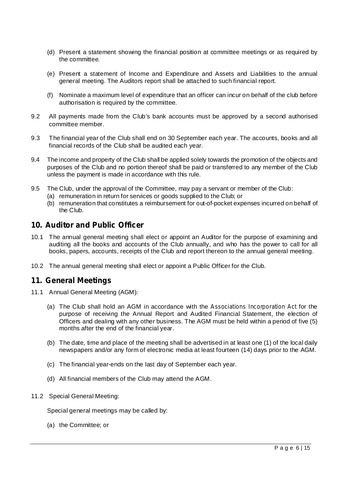- (d) Present a statement showing the financial position at committee meetings or as required by the committee.
- (e) Present a statement of Income and Expenditure and Assets and Liabilities to the annual general meeting. The Auditors report shall be attached to such financial report.
- (f) Nominate a maximum level of expenditure that an officer can incur on behalf of the club before authorisation is required by the committee.
- 9.2 All payments made from the Club's bank accounts must be approved by a second authorised committee member.
- 9.3 The financial year of the Club shall end on 30 September each year. The accounts, books and all financial records of the Club shall be audited each year.
- 9.4 The income and property of the Club shall be applied solely towards the promotion of the objects and purposes of the Club and no portion thereof shall be paid or transferred to any member of the Club unless the payment is made in accordance with this rule.
- 9.5 The Club, under the approval of the Committee, may pay a servant or member of the Club:
	- (a) remuneration in return for services or goods supplied to the Club; or
	- (b) remuneration that constitutes a reimbursement for out-of-pocket expenses incurred on behalf of the Club.

## **10. Auditor and Public Officer**

- 10.1 The annual general meeting shall elect or appoint an Auditor for the purpose of examining and auditing all the books and accounts of the Club annually, and who has the power to call for all books, papers, accounts, receipts of the Club and report thereon to the annual general meeting.
- 10.2 The annual general meeting shall elect or appoint a Public Officer for the Club.

## **11. General Meetings**

- 11.1 Annual General Meeting (AGM):
	- (a) The Club shall hold an AGM in accordance with the Associations Incorporation Act for the purpose of receiving the Annual Report and Audited Financial Statement, the election of Officers and dealing with any other business. The AGM must be held within a period of five (5) months after the end of the financial year.
	- (b) The date, time and place of the meeting shall be advertised in at least one (1) of the local daily newspapers and/or any form of electronic media at least fourteen (14) days prior to the AGM.
	- (c) The financial year-ends on the last day of September each year.
	- (d) All financial members of the Club may attend the AGM.
- 11.2 Special General Meeting:

Special general meetings may be called by:

(a) the Committee; or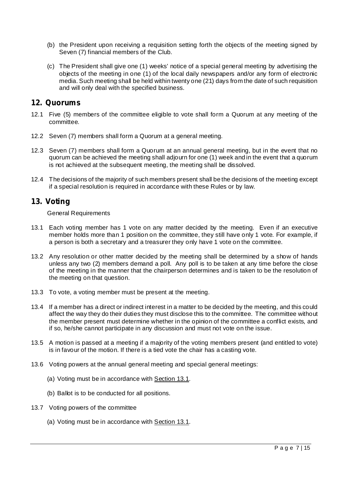- (b) the President upon receiving a requisition setting forth the objects of the meeting signed by Seven (7) financial members of the Club.
- (c) The President shall give one (1) weeks' notice of a special general meeting by advertising the objects of the meeting in one (1) of the local daily newspapers and/or any form of electronic media. Such meeting shall be held within twenty one (21) days from the date of such requisition and will only deal with the specified business.

## **12. Quorums**

- 12.1 Five (5) members of the committee eligible to vote shall form a Quorum at any meeting of the committee.
- 12.2 Seven (7) members shall form a Quorum at a general meeting.
- 12.3 Seven (7) members shall form a Quorum at an annual general meeting, but in the event that no quorum can be achieved the meeting shall adjourn for one (1) week and in the event that a quorum is not achieved at the subsequent meeting, the meeting shall be dissolved.
- 12.4 The decisions of the majority of such members present shall be the decisions of the meeting except if a special resolution is required in accordance with these Rules or by law.

## **13. Voting**

General Requirements

- 13.1 Each voting member has 1 vote on any matter decided by the meeting. Even if an executive member holds more than 1 position on the committee, they still have only 1 vote. For example, if a person is both a secretary and a treasurer they only have 1 vote on the committee.
- 13.2 Any resolution or other matter decided by the meeting shall be determined by a show of hands unless any two (2) members demand a poll. Any poll is to be taken at any time before the close of the meeting in the manner that the chairperson determines and is taken to be the resolution of the meeting on that question.
- 13.3 To vote, a voting member must be present at the meeting.
- 13.4 If a member has a direct or indirect interest in a matter to be decided by the meeting, and this could affect the way they do their duties they must disclose this to the committee. The committee without the member present must determine whether in the opinion of the committee a conflict exists, and if so, he/she cannot participate in any discussion and must not vote on the issue.
- 13.5 A motion is passed at a meeting if a majority of the voting members present (and entitled to vote) is in favour of the motion. If there is a tied vote the chair has a casting vote.
- 13.6 Voting powers at the annual general meeting and special general meetings:
	- (a) Voting must be in accordance with Section 13.1.
	- (b) Ballot is to be conducted for all positions.
- 13.7 Voting powers of the committee
	- (a) Voting must be in accordance with Section 13.1.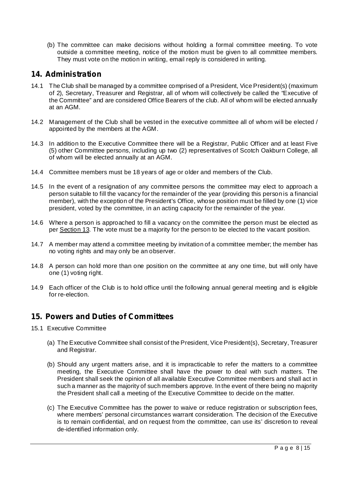(b) The committee can make decisions without holding a formal committee meeting. To vote outside a committee meeting, notice of the motion must be given to all committee members. They must vote on the motion in writing, email reply is considered in writing.

## **14. Administration**

- 14.1 The Club shall be managed by a committee comprised of a President, Vice President(s) (maximum of 2), Secretary, Treasurer and Registrar, all of whom will collectively be called the "Executive of the Committee" and are considered Office Bearers of the club. All of whom will be elected annually at an AGM.
- 14.2 Management of the Club shall be vested in the executive committee all of whom will be elected / appointed by the members at the AGM.
- 14.3 In addition to the Executive Committee there will be a Registrar, Public Officer and at least Five (5) other Committee persons, including up two (2) representatives of Scotch Oakburn College, all of whom will be elected annually at an AGM.
- 14.4 Committee members must be 18 years of age or older and members of the Club.
- 14.5 In the event of a resignation of any committee persons the committee may elect to approach a person suitable to fill the vacancy for the remainder of the year (providing this person is a financial member), with the exception of the President's Office, whose position must be filled by one (1) vice president, voted by the committee, in an acting capacity for the remainder of the year.
- 14.6 Where a person is approached to fill a vacancy on the committee the person must be elected as per Section 13. The vote must be a majority for the person to be elected to the vacant position.
- 14.7 A member may attend a committee meeting by invitation of a committee member; the member has no voting rights and may only be an observer.
- 14.8 A person can hold more than one position on the committee at any one time, but will only have one (1) voting right.
- 14.9 Each officer of the Club is to hold office until the following annual general meeting and is eligible for re-election.

## **15. Powers and Duties of Committees**

- 15.1 Executive Committee
	- (a) The Executive Committee shall consist of the President, Vice President(s), Secretary, Treasurer and Registrar.
	- (b) Should any urgent matters arise, and it is impracticable to refer the matters to a committee meeting, the Executive Committee shall have the power to deal with such matters. The President shall seek the opinion of all available Executive Committee members and shall act in such a manner as the majority of such members approve. In the event of there being no majority the President shall call a meeting of the Executive Committee to decide on the matter.
	- (c) The Executive Committee has the power to waive or reduce registration or subscription fees, where members' personal circumstances warrant consideration. The decision of the Executive is to remain confidential, and on request from the committee, can use its' discretion to reveal de-identified information only.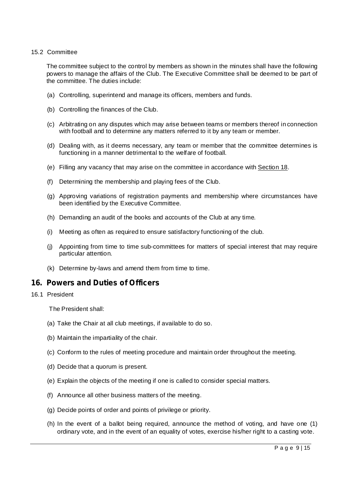#### 15.2 Committee

The committee subject to the control by members as shown in the minutes shall have the following powers to manage the affairs of the Club. The Executive Committee shall be deemed to be part of the committee. The duties include:

- (a) Controlling, superintend and manage its officers, members and funds.
- (b) Controlling the finances of the Club.
- (c) Arbitrating on any disputes which may arise between teams or members thereof in connection with football and to determine any matters referred to it by any team or member.
- (d) Dealing with, as it deems necessary, any team or member that the committee determines is functioning in a manner detrimental to the welfare of football.
- (e) Filling any vacancy that may arise on the committee in accordance with Section 18.
- (f) Determining the membership and playing fees of the Club.
- (g) Approving variations of registration payments and membership where circumstances have been identified by the Executive Committee.
- (h) Demanding an audit of the books and accounts of the Club at any time.
- (i) Meeting as often as required to ensure satisfactory functioning of the club.
- (j) Appointing from time to time sub-committees for matters of special interest that may require particular attention.
- (k) Determine by-laws and amend them from time to time.

## **16. Powers and Duties of Officers**

### 16.1 President

The President shall:

- (a) Take the Chair at all club meetings, if available to do so.
- (b) Maintain the impartiality of the chair.
- (c) Conform to the rules of meeting procedure and maintain order throughout the meeting.
- (d) Decide that a quorum is present.
- (e) Explain the objects of the meeting if one is called to consider special matters.
- (f) Announce all other business matters of the meeting.
- (g) Decide points of order and points of privilege or priority.
- (h) In the event of a ballot being required, announce the method of voting, and have one (1) ordinary vote, and in the event of an equality of votes, exercise his/her right to a casting vote.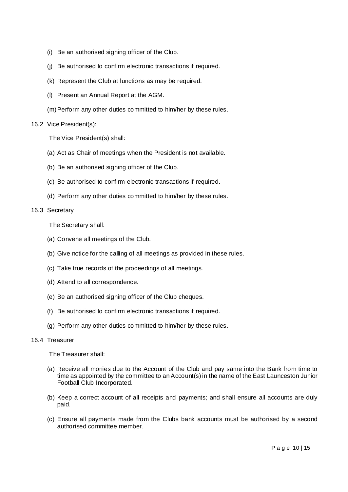- (i) Be an authorised signing officer of the Club.
- (j) Be authorised to confirm electronic transactions if required.
- (k) Represent the Club at functions as may be required.
- (l) Present an Annual Report at the AGM.
- (m)Perform any other duties committed to him/her by these rules.

#### 16.2 Vice President(s):

The Vice President(s) shall:

- (a) Act as Chair of meetings when the President is not available.
- (b) Be an authorised signing officer of the Club.
- (c) Be authorised to confirm electronic transactions if required.
- (d) Perform any other duties committed to him/her by these rules.

#### 16.3 Secretary

The Secretary shall:

- (a) Convene all meetings of the Club.
- (b) Give notice for the calling of all meetings as provided in these rules.
- (c) Take true records of the proceedings of all meetings.
- (d) Attend to all correspondence.
- (e) Be an authorised signing officer of the Club cheques.
- (f) Be authorised to confirm electronic transactions if required.
- (g) Perform any other duties committed to him/her by these rules.

#### 16.4 Treasurer

The Treasurer shall:

- (a) Receive all monies due to the Account of the Club and pay same into the Bank from time to time as appointed by the committee to an Account(s) in the name of the East Launceston Junior Football Club Incorporated.
- (b) Keep a correct account of all receipts and payments; and shall ensure all accounts are duly paid.
- (c) Ensure all payments made from the Clubs bank accounts must be authorised by a second authorised committee member.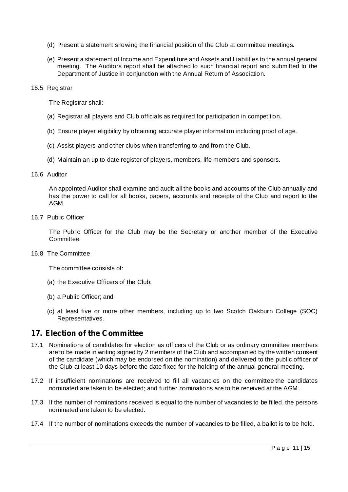- (d) Present a statement showing the financial position of the Club at committee meetings.
- (e) Present a statement of Income and Expenditure and Assets and Liabilities to the annual general meeting. The Auditors report shall be attached to such financial report and submitted to the Department of Justice in conjunction with the Annual Return of Association.

#### 16.5 Registrar

The Registrar shall:

- (a) Registrar all players and Club officials as required for participation in competition.
- (b) Ensure player eligibility by obtaining accurate player information including proof of age.
- (c) Assist players and other clubs when transferring to and from the Club.
- (d) Maintain an up to date register of players, members, life members and sponsors.

#### 16.6 Auditor

An appointed Auditor shall examine and audit all the books and accounts of the Club annually and has the power to call for all books, papers, accounts and receipts of the Club and report to the AGM.

#### 16.7 Public Officer

The Public Officer for the Club may be the Secretary or another member of the Executive Committee.

#### 16.8 The Committee

The committee consists of:

- (a) the Executive Officers of the Club;
- (b) a Public Officer; and
- (c) at least five or more other members, including up to two Scotch Oakburn College (SOC) Representatives.

## **17. Election of the Committee**

- 17.1 Nominations of candidates for election as officers of the Club or as ordinary committee members are to be made in writing signed by 2 members of the Club and accompanied by the written consent of the candidate (which may be endorsed on the nomination) and delivered to the public officer of the Club at least 10 days before the date fixed for the holding of the annual general meeting.
- 17.2 If insufficient nominations are received to fill all vacancies on the committee the candidates nominated are taken to be elected; and further nominations are to be received at the AGM.
- 17.3 If the number of nominations received is equal to the number of vacancies to be filled, the persons nominated are taken to be elected.
- 17.4 If the number of nominations exceeds the number of vacancies to be filled, a ballot is to be held.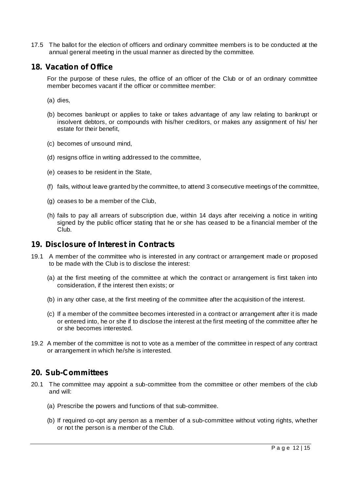17.5 The ballot for the election of officers and ordinary committee members is to be conducted at the annual general meeting in the usual manner as directed by the committee.

## **18. Vacation of Office**

For the purpose of these rules, the office of an officer of the Club or of an ordinary committee member becomes vacant if the officer or committee member:

- (a) dies,
- (b) becomes bankrupt or applies to take or takes advantage of any law relating to bankrupt or insolvent debtors, or compounds with his/her creditors, or makes any assignment of his/ her estate for their benefit,
- (c) becomes of unsound mind,
- (d) resigns office in writing addressed to the committee,
- (e) ceases to be resident in the State,
- (f) fails, without leave granted by the committee, to attend 3 consecutive meetings of the committee,
- (g) ceases to be a member of the Club,
- (h) fails to pay all arrears of subscription due, within 14 days after receiving a notice in writing signed by the public officer stating that he or she has ceased to be a financial member of the Club.

#### **19. Disclosure of Interest in Contracts**

- 19.1 A member of the committee who is interested in any contract or arrangement made or proposed to be made with the Club is to disclose the interest:
	- (a) at the first meeting of the committee at which the contract or arrangement is first taken into consideration, if the interest then exists; or
	- (b) in any other case, at the first meeting of the committee after the acquisition of the interest.
	- (c) If a member of the committee becomes interested in a contract or arrangement after it is made or entered into, he or she if to disclose the interest at the first meeting of the committee after he or she becomes interested.
- 19.2 A member of the committee is not to vote as a member of the committee in respect of any contract or arrangement in which he/she is interested.

## **20. Sub-Committees**

- 20.1 The committee may appoint a sub-committee from the committee or other members of the club and will:
	- (a) Prescribe the powers and functions of that sub-committee.
	- (b) If required co-opt any person as a member of a sub-committee without voting rights, whether or not the person is a member of the Club.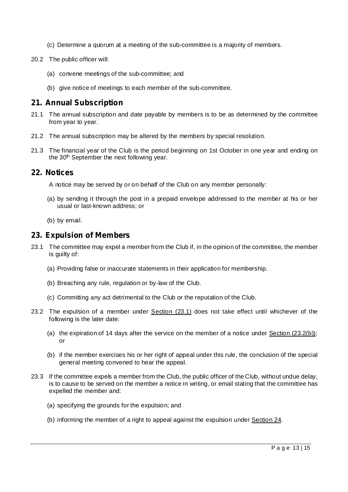- (c) Determine a quorum at a meeting of the sub-committee is a majority of members.
- 20.2 The public officer will:
	- (a) convene meetings of the sub-committee; and
	- (b) give notice of meetings to each member of the sub-committee.

## **21. Annual Subscription**

- 21.1 The annual subscription and date payable by members is to be as determined by the committee from year to year.
- 21.2 The annual subscription may be altered by the members by special resolution.
- 21.3 The financial year of the Club is the period beginning on 1st October in one year and ending on the 30<sup>th</sup> September the next following year.

## **22. Notices**

A notice may be served by or on behalf of the Club on any member personally:

- (a) by sending it through the post in a prepaid envelope addressed to the member at his or her usual or last-known address; or
- (b) by email.

## **23. Expulsion of Members**

- 23.1 The committee may expel a member from the Club if, in the opinion of the committee, the member is guilty of:
	- (a) Providing false or inaccurate statements in their application for membership.
	- (b) Breaching any rule, regulation or by-law of the Club.
	- (c) Committing any act detrimental to the Club or the reputation of the Club.
- 23.2 The expulsion of a member under Section (23.1) does not take effect until whichever of the following is the later date:
	- (a) the expiration of 14 days after the service on the member of a notice under Section (23.2(b)); or
	- (b) if the member exercises his or her right of appeal under this rule, the conclusion of the special general meeting convened to hear the appeal.
- 23.3 If the committee expels a member from the Club, the public officer of the Club, without undue delay, is to cause to be served on the member a notice in writing, or email stating that the committee has expelled the member and:
	- (a) specifying the grounds for the expulsion; and
	- (b) informing the member of a right to appeal against the expulsion under Section 24.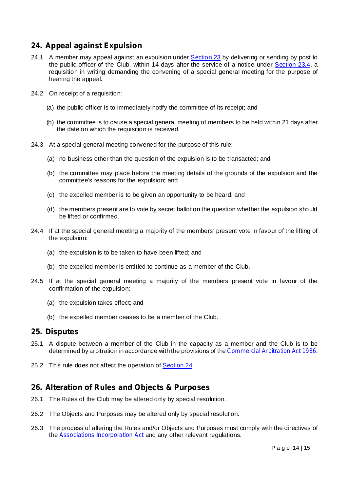## **24. Appeal against Expulsion**

- 24.1 A member may appeal against an expulsion under Section 23 by delivering or sending by post to the public officer of the Club, within 14 days after the service of a notice under Section 23.4, a requisition in writing demanding the convening of a special general meeting for the purpose of hearing the appeal.
- 24.2 On receipt of a requisition:
	- (a) the public officer is to immediately notify the committee of its receipt; and
	- (b) the committee is to cause a special general meeting of members to be held within 21 days after the date on which the requisition is received.
- 24.3 At a special general meeting convened for the purpose of this rule:
	- (a) no business other than the question of the expulsion is to be transacted; and
	- (b) the committee may place before the meeting details of the grounds of the expulsion and the committee's reasons for the expulsion; and
	- (c) the expelled member is to be given an opportunity to be heard; and
	- (d) the members present are to vote by secret ballot on the question whether the expulsion should be lifted or confirmed.
- 24.4 If at the special general meeting a majority of the members' present vote in favour of the lifting of the expulsion:
	- (a) the expulsion is to be taken to have been lifted; and
	- (b) the expelled member is entitled to continue as a member of the Club.
- 24.5 If at the special general meeting a majority of the members present vote in favour of the confirmation of the expulsion:
	- (a) the expulsion takes effect; and
	- (b) the expelled member ceases to be a member of the Club.

## **25. Disputes**

- 25.1 A dispute between a member of the Club in the capacity as a member and the Club is to be determined by arbitration in accordance with the provisions of the Commercial Arbitration Act 1986.
- 25.2 This rule does not affect the operation of Section 24.

## **26. Alteration of Rules and Objects & Purposes**

- 26.1 The Rules of the Club may be altered only by special resolution.
- 26.2 The Objects and Purposes may be altered only by special resolution.
- 26.3 The process of altering the Rules and/or Objects and Purposes must comply with the directives of the Associations Incorporation Act and any other relevant regulations.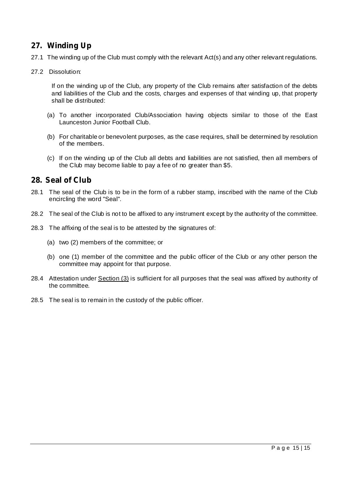## **27. Winding Up**

- 27.1 The winding up of the Club must comply with the relevant Act(s) and any other relevant regulations.
- 27.2 Dissolution:

If on the winding up of the Club, any property of the Club remains after satisfaction of the debts and liabilities of the Club and the costs, charges and expenses of that winding up, that property shall be distributed:

- (a) To another incorporated Club/Association having objects similar to those of the East Launceston Junior Football Club.
- (b) For charitable or benevolent purposes, as the case requires, shall be determined by resolution of the members.
- (c) If on the winding up of the Club all debts and liabilities are not satisfied, then all members of the Club may become liable to pay a fee of no greater than \$5.

## **28. Seal of Club**

- 28.1 The seal of the Club is to be in the form of a rubber stamp, inscribed with the name of the Club encircling the word "Seal".
- 28.2 The seal of the Club is not to be affixed to any instrument except by the authority of the committee.
- 28.3 The affixing of the seal is to be attested by the signatures of:
	- (a) two (2) members of the committee; or
	- (b) one (1) member of the committee and the public officer of the Club or any other person the committee may appoint for that purpose.
- 28.4 Attestation under **Section (3)** is sufficient for all purposes that the seal was affixed by authority of the committee.
- 28.5 The seal is to remain in the custody of the public officer.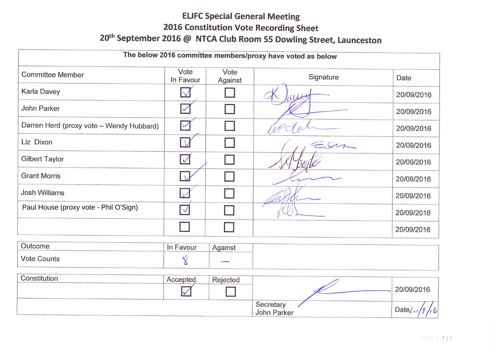## **ELIFC Special General Meeting** 2016 Constitution Vote Recording Sheet 20<sup>th</sup> September 2016 @ NTCA Club Room 55 Dowling Street, Launceston

| The below 2016 committee members/proxy have voted as below |                   |                 |           |            |  |  |  |  |  |
|------------------------------------------------------------|-------------------|-----------------|-----------|------------|--|--|--|--|--|
|                                                            |                   |                 |           |            |  |  |  |  |  |
| <b>Committee Member</b>                                    | Vote<br>In Favour | Vote<br>Against | Signature | Date       |  |  |  |  |  |
| <b>Karla Davey</b>                                         |                   |                 |           | 20/09/2016 |  |  |  |  |  |
| John Parker                                                |                   |                 |           | 20/09/2016 |  |  |  |  |  |
| Darren Herd (proxy vote - Wendy Hubbard)                   |                   |                 |           | 20/09/2016 |  |  |  |  |  |
| Liz Dixon                                                  |                   |                 | Eller     | 20/09/2016 |  |  |  |  |  |
| <b>Gilbert Taylor</b>                                      | $\sqrt{2}$        |                 |           | 20/09/2016 |  |  |  |  |  |
| <b>Grant Morris</b>                                        |                   |                 |           | 20/09/2016 |  |  |  |  |  |
| <b>Josh Williams</b>                                       |                   |                 |           | 20/09/2016 |  |  |  |  |  |
| Paul House (proxy vote - Phil O'Sign)                      |                   |                 |           | 20/09/2016 |  |  |  |  |  |
|                                                            |                   |                 |           | 20/09/2016 |  |  |  |  |  |

| Constitution | Accepted<br>へしし | <b>Rejected</b> |                          |                             |
|--------------|-----------------|-----------------|--------------------------|-----------------------------|
|              |                 | .               |                          | 20/09/2016                  |
|              |                 |                 | Secretary<br>John Parker | Date <sub>2</sub><br>$\sim$ |